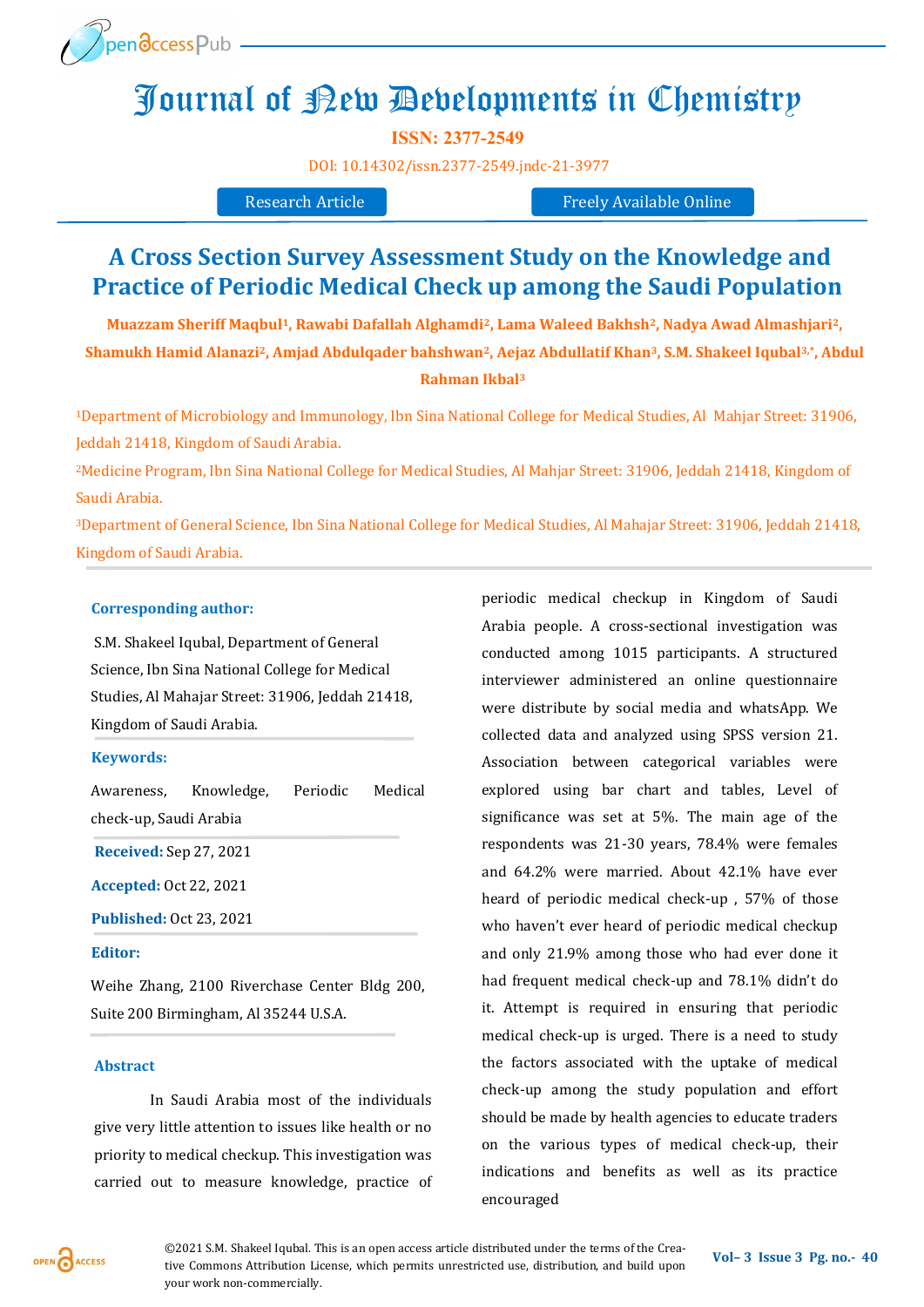

# Journal of New Developments in Chemistry

**ISSN: 2377-2549** 

[DOI:](https://doi.org/10.14302/issn.2639-3166.jar-21-3872) [10.14302/issn.2377](https://doi.org/10.14302/issn.2377-2549.jndc-21-3977)-2549.jndc-21-3977

Research Article Freely Available Online

# **A Cross Section Survey Assessment Study on the Knowledge and Practice of Periodic Medical Check up among the Saudi Population**

**, <sup>2</sup> , Nadya Awad Almashjari <sup>2</sup> Muazzam Sheriff Maqbul1, Rawabi Dafallah Alghamdi2, Lama Waleed Bakhsh , Abdul 3,\* , S.M. Shakeel Iqubal <sup>3</sup> Shamukh Hamid Alanazi2, Amjad Abdulqader bahshwan2, Aejaz Abdullatif Khan Rahman Ikbal<sup>3</sup>**

Department of Microbiology and Immunology, Ibn Sina National College for Medical Studies, Al Mahjar Street: 31906, <sup>1</sup> Jeddah 21418, Kingdom of Saudi Arabia.

<sup>2</sup>Medicine Program, Ibn Sina National College for Medical Studies, Al Mahjar Street: 31906, Jeddah 21418, Kingdom of Saudi Arabia.

Department of General Science, Ibn Sina National College for Medical Studies, Al Mahajar Street: 31906, Jeddah 21418, <sup>3</sup> Kingdom of Saudi Arabia.

# **Corresponding author:**

S.M. Shakeel Iqubal, Department of General Science, Ibn Sina National College for Medical Studies, Al Mahajar Street: 31906, Jeddah 21418, Kingdom of Saudi Arabia.

#### **Keywords:**

Awareness, Knowledge, Periodic Medical check-up, Saudi Arabia

**Received:** Sep 27, 2021

**Accepted:** Oct 22, 2021

**Published:** Oct 23, 2021

## **Editor:**

Weihe Zhang, 2100 Riverchase Center Bldg 200, Suite 200 Birmingham, Al 35244 U.S.A.

#### **Abstract**

In Saudi Arabia most of the individuals give very little attention to issues like health or no priority to medical checkup. This investigation was carried out to measure knowledge, practice of periodic medical checkup in Kingdom of Saudi Arabia people. A cross-sectional investigation was conducted among 1015 participants. A structured interviewer administered an online questionnaire were distribute by social media and whatsApp. We collected data and analyzed using SPSS version 21. Association between categorical variables were explored using bar chart and tables, Level of significance was set at 5%. The main age of the respondents was 21-30 years, 78.4% were females and 64.2% were married. About 42.1% have ever heard of periodic medical check-up , 57% of those who haven't ever heard of periodic medical checkup and only 21.9% among those who had ever done it had frequent medical check-up and 78.1% didn't do it. Attempt is required in ensuring that periodic medical check-up is urged. There is a need to study the factors associated with the uptake of medical check-up among the study population and effort should be made by health agencies to educate traders on the various types of medical check-up, their indications and benefits as well as its practice encouraged

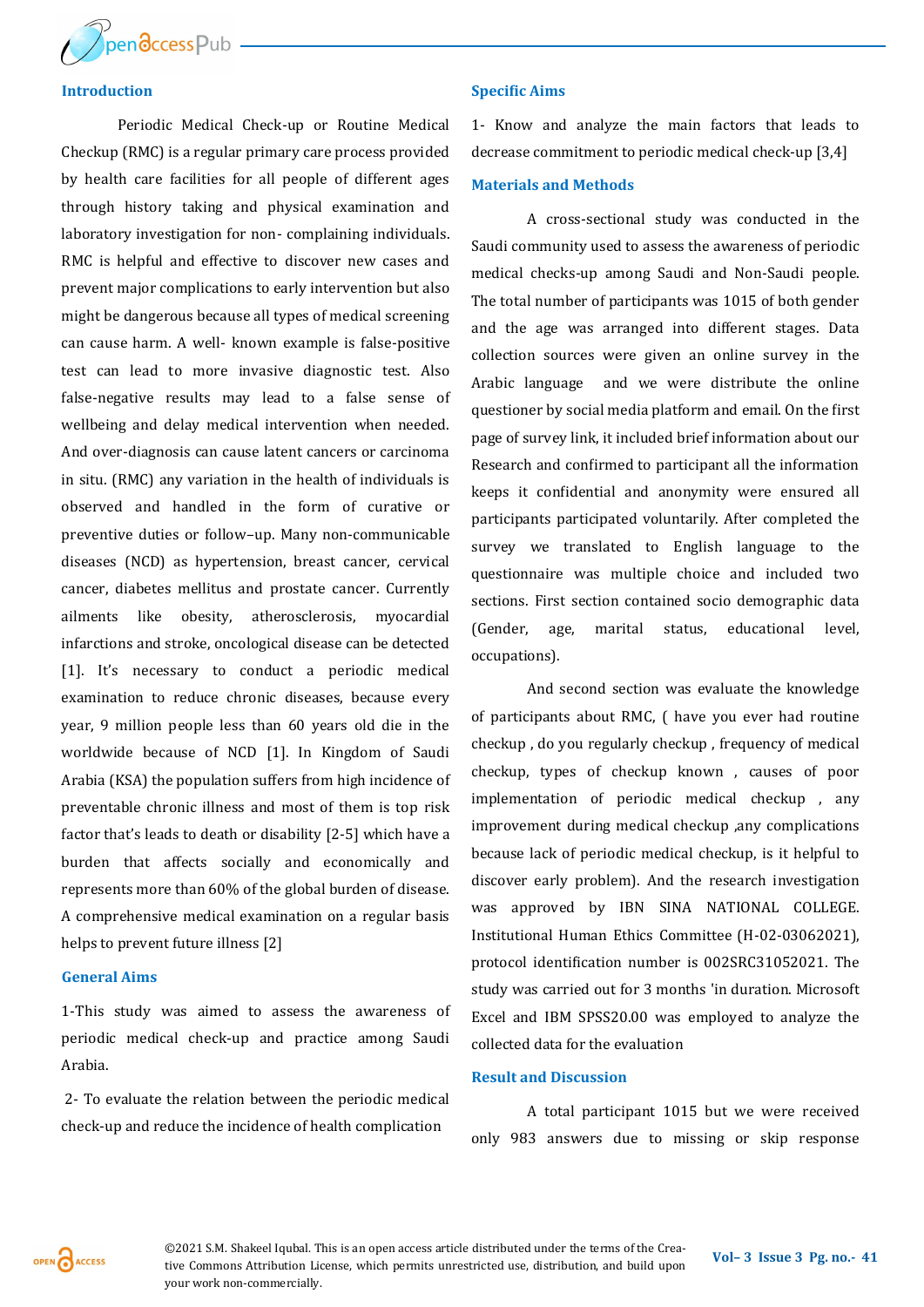

# **Introduction**

Periodic Medical Check-up or Routine Medical Checkup (RMC) is a regular primary care process provided by health care facilities for all people of different ages through history taking and physical examination and laboratory investigation for non- complaining individuals. RMC is helpful and effective to discover new cases and prevent major complications to early intervention but also might be dangerous because all types of medical screening can cause harm. A well‐ known example is false‐positive test can lead to more invasive diagnostic test. Also false‐negative results may lead to a false sense of wellbeing and delay medical intervention when needed. And over-diagnosis can cause latent cancers or carcinoma in situ. (RMC) any variation in the health of individuals is observed and handled in the form of curative or preventive duties or follow–up. Many non-communicable diseases (NCD) as hypertension, breast cancer, cervical cancer, diabetes mellitus and prostate cancer. Currently ailments like obesity, atherosclerosis, myocardial infarctions and stroke, oncological disease can be detected [1]. It's necessary to conduct a periodic medical examination to reduce chronic diseases, because every year, 9 million people less than 60 years old die in the worldwide because of NCD [1]. In Kingdom of Saudi Arabia (KSA) the population suffers from high incidence of preventable chronic illness and most of them is top risk factor that's leads to death or disability [2-5] which have a burden that affects socially and economically and represents more than 60% of the global burden of disease. A comprehensive medical examination on a regular basis helps to prevent future illness [2]

# **General Aims**

1-This study was aimed to assess the awareness of periodic medical check-up and practice among Saudi Arabia.

2- To evaluate the relation between the periodic medical check-up and reduce the incidence of health complication

# **Specific Aims**

1- Know and analyze the main factors that leads to decrease commitment to periodic medical check-up [3,4]

#### **Materials and Methods**

A cross-sectional study was conducted in the Saudi community used to assess the awareness of periodic medical checks-up among Saudi and Non-Saudi people. The total number of participants was 1015 of both gender and the age was arranged into different stages. Data collection sources were given an online survey in the Arabic language and we were distribute the online questioner by social media platform and email. On the first page of survey link, it included brief information about our Research and confirmed to participant all the information keeps it confidential and anonymity were ensured all participants participated voluntarily. After completed the survey we translated to English language to the questionnaire was multiple choice and included two sections. First section contained socio demographic data (Gender, age, marital status, educational level, occupations).

And second section was evaluate the knowledge of participants about RMC, ( have you ever had routine checkup , do you regularly checkup , frequency of medical checkup, types of checkup known , causes of poor implementation of periodic medical checkup , any improvement during medical checkup ,any complications because lack of periodic medical checkup, is it helpful to discover early problem). And the research investigation was approved by IBN SINA NATIONAL COLLEGE. Institutional Human Ethics Committee (H-02-03062021), protocol identification number is 002SRC31052021. The study was carried out for 3 months 'in duration. Microsoft Excel and IBM SPSS20.00 was employed to analyze the collected data for the evaluation

# **Result and Discussion**

A total participant 1015 but we were received only 983 answers due to missing or skip response

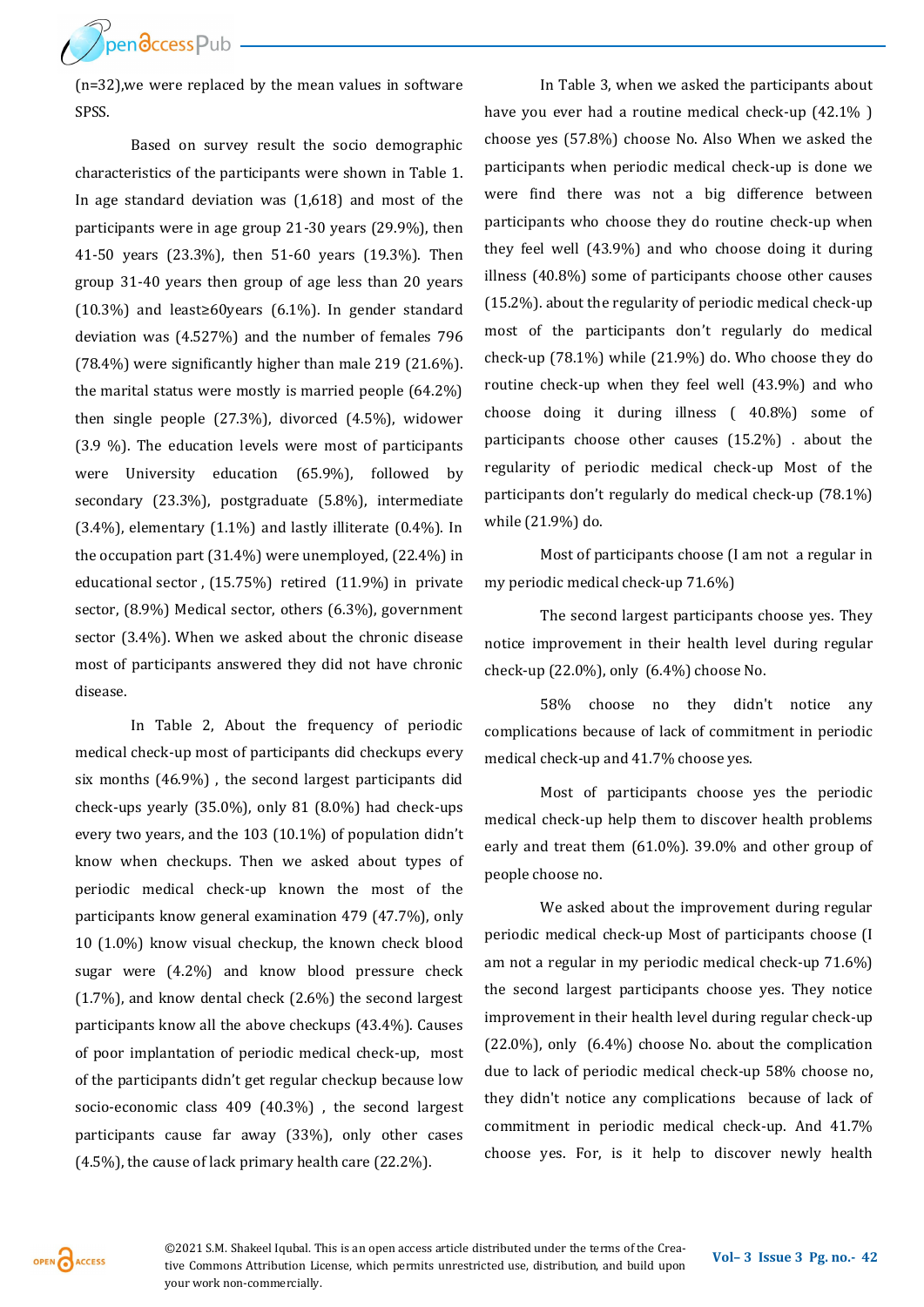**ThendccessPub** 

(n=32),we were replaced by the mean values in software SPSS.

Based on survey result the socio demographic characteristics of the participants were shown in Table 1. In age standard deviation was (1,618) and most of the participants were in age group 21-30 years (29.9%), then 41-50 years (23.3%), then 51-60 years (19.3%). Then group 31-40 years then group of age less than 20 years (10.3%) and least≥60years (6.1%). In gender standard deviation was (4.527%) and the number of females 796 (78.4%) were significantly higher than male 219 (21.6%). the marital status were mostly is married people (64.2%) then single people (27.3%), divorced (4.5%), widower (3.9 %). The education levels were most of participants were University education (65.9%), followed by secondary (23.3%), postgraduate (5.8%), intermediate (3.4%), elementary (1.1%) and lastly illiterate (0.4%). In the occupation part (31.4%) were unemployed, (22.4%) in educational sector , (15.75%) retired (11.9%) in private sector, (8.9%) Medical sector, others (6.3%), government sector (3.4%). When we asked about the chronic disease most of participants answered they did not have chronic disease.

In Table 2, About the frequency of periodic medical check-up most of participants did checkups every six months (46.9%) , the second largest participants did check-ups yearly (35.0%), only 81 (8.0%) had check-ups every two years, and the 103 (10.1%) of population didn't know when checkups. Then we asked about types of periodic medical check-up known the most of the participants know general examination 479 (47.7%), only 10 (1.0%) know visual checkup, the known check blood sugar were (4.2%) and know blood pressure check (1.7%), and know dental check (2.6%) the second largest participants know all the above checkups (43.4%). Causes of poor implantation of periodic medical check-up, most of the participants didn't get regular checkup because low socio-economic class 409 (40.3%) , the second largest participants cause far away (33%), only other cases (4.5%), the cause of lack primary health care (22.2%).

In Table 3, when we asked the participants about have you ever had a routine medical check-up (42.1% ) choose yes (57.8%) choose No. Also When we asked the participants when periodic medical check-up is done we were find there was not a big difference between participants who choose they do routine check-up when they feel well (43.9%) and who choose doing it during illness (40.8%) some of participants choose other causes (15.2%). about the regularity of periodic medical check-up most of the participants don't regularly do medical check-up (78.1%) while (21.9%) do. Who choose they do routine check-up when they feel well (43.9%) and who choose doing it during illness ( 40.8%) some of participants choose other causes (15.2%) . about the regularity of periodic medical check-up Most of the participants don't regularly do medical check-up (78.1%) while (21.9%) do.

Most of participants choose (I am not a regular in my periodic medical check-up 71.6%)

The second largest participants choose yes. They notice improvement in their health level during regular check-up (22.0%), only (6.4%) choose No.

58% choose no they didn't notice any complications because of lack of commitment in periodic medical check-up and 41.7% choose yes.

Most of participants choose yes the periodic medical check-up help them to discover health problems early and treat them (61.0%). 39.0% and other group of people choose no.

We asked about the improvement during regular periodic medical check-up Most of participants choose (I am not a regular in my periodic medical check-up 71.6%) the second largest participants choose yes. They notice improvement in their health level during regular check-up (22.0%), only (6.4%) choose No. about the complication due to lack of periodic medical check-up 58% choose no, they didn't notice any complications because of lack of commitment in periodic medical check-up. And 41.7% choose yes. For, is it help to discover newly health

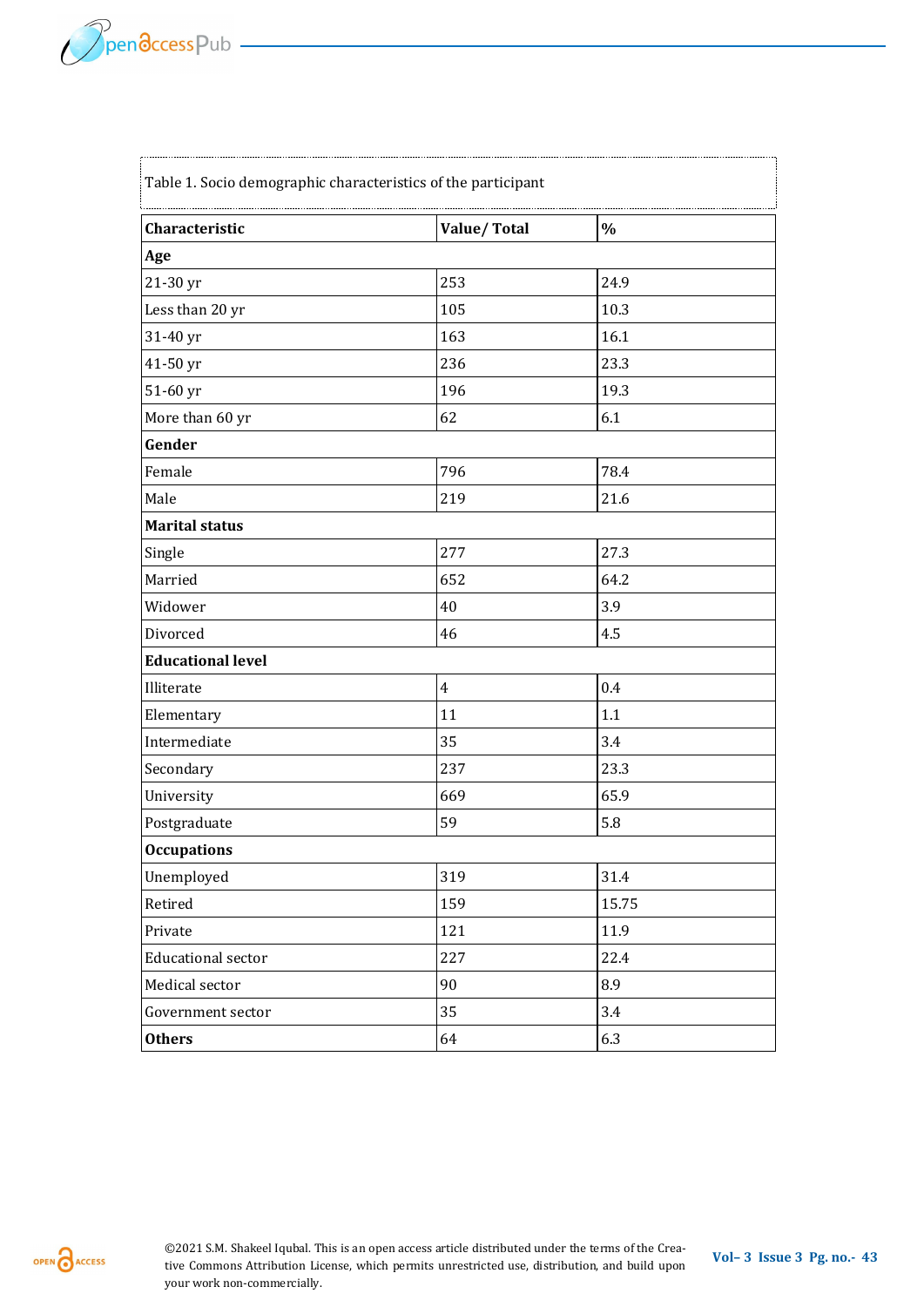f

| Characteristic            | Value/Total    | $\%$  |
|---------------------------|----------------|-------|
| Age                       |                |       |
| 21-30 yr                  | 253            | 24.9  |
| Less than 20 yr           | 105            | 10.3  |
| 31-40 yr                  | 163            | 16.1  |
| 41-50 yr                  | 236            | 23.3  |
| 51-60 yr                  | 196            | 19.3  |
| More than 60 yr           | 62             | 6.1   |
| Gender                    |                |       |
| Female                    | 796            | 78.4  |
| Male                      | 219            | 21.6  |
| <b>Marital status</b>     |                |       |
| Single                    | 277            | 27.3  |
| Married                   | 652            | 64.2  |
| Widower                   | 40             | 3.9   |
| Divorced                  | 46             | 4.5   |
| <b>Educational level</b>  |                |       |
| Illiterate                | $\overline{4}$ | 0.4   |
| Elementary                | 11             | 1.1   |
| Intermediate              | 35             | 3.4   |
| Secondary                 | 237            | 23.3  |
| University                | 669            | 65.9  |
| Postgraduate              | 59             | 5.8   |
| <b>Occupations</b>        |                |       |
| Unemployed                | 319            | 31.4  |
| Retired                   | 159            | 15.75 |
| Private                   | 121            | 11.9  |
| <b>Educational sector</b> | 227            | 22.4  |
| Medical sector            | 90             | 8.9   |
| Government sector         | 35             | 3.4   |
| <b>Others</b>             | 64             | 6.3   |

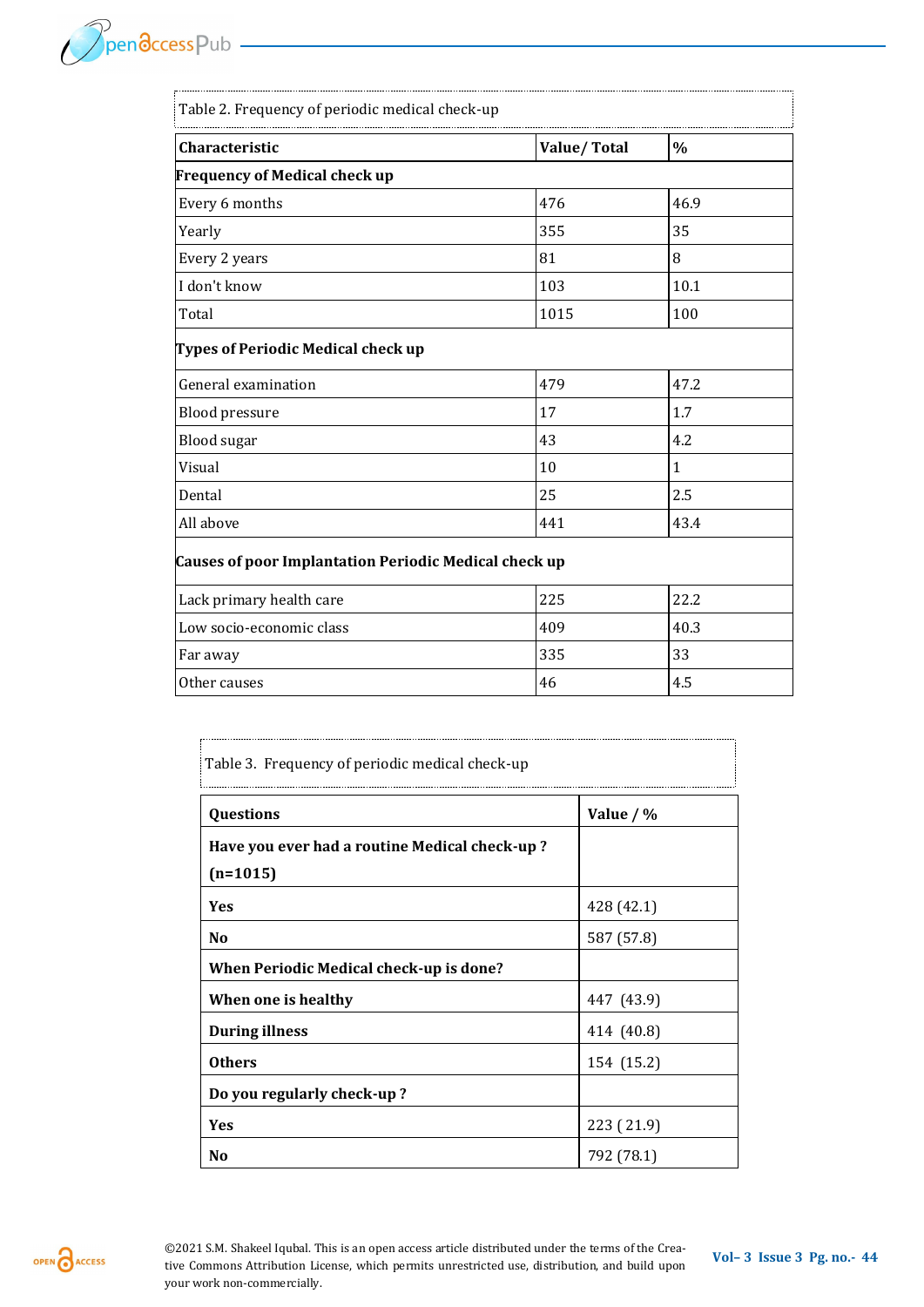| Table 2. Frequency of periodic medical check-up       |             |               |  |  |
|-------------------------------------------------------|-------------|---------------|--|--|
| Characteristic                                        | Value/Total | $\frac{0}{0}$ |  |  |
| <b>Frequency of Medical check up</b>                  |             |               |  |  |
| Every 6 months                                        | 476         | 46.9          |  |  |
| Yearly                                                | 355         | 35            |  |  |
| Every 2 years                                         | 81          | 8             |  |  |
| I don't know                                          | 103         | 10.1          |  |  |
| Total                                                 | 1015        | 100           |  |  |
| Types of Periodic Medical check up                    |             |               |  |  |
| General examination                                   | 479         | 47.2          |  |  |
| <b>Blood pressure</b>                                 | 17          | 1.7           |  |  |
| <b>Blood</b> sugar                                    | 43          | 4.2           |  |  |
| Visual                                                | 10          | $\mathbf{1}$  |  |  |
| Dental                                                | 25          | 2.5           |  |  |
| All above                                             | 441         | 43.4          |  |  |
| Causes of poor Implantation Periodic Medical check up |             |               |  |  |
| Lack primary health care                              | 225         | 22.2          |  |  |
| Low socio-economic class                              | 409         | 40.3          |  |  |
| Far away                                              | 335         | 33            |  |  |
| Other causes                                          | 46          | 4.5           |  |  |

| Table 3. Frequency of periodic medical check-up |             |  |  |
|-------------------------------------------------|-------------|--|--|
| Questions                                       | Value $/$ % |  |  |
| Have you ever had a routine Medical check-up?   |             |  |  |
| $(n=1015)$                                      |             |  |  |
| <b>Yes</b>                                      | 428 (42.1)  |  |  |
| N <sub>0</sub>                                  | 587 (57.8)  |  |  |
| When Periodic Medical check-up is done?         |             |  |  |
| When one is healthy                             | 447 (43.9)  |  |  |
| <b>During illness</b>                           | 414 (40.8)  |  |  |
| <b>Others</b>                                   | 154 (15.2)  |  |  |
| Do you regularly check-up?                      |             |  |  |
| Yes                                             | 223 (21.9)  |  |  |
| N <sub>0</sub>                                  | 792 (78.1)  |  |  |

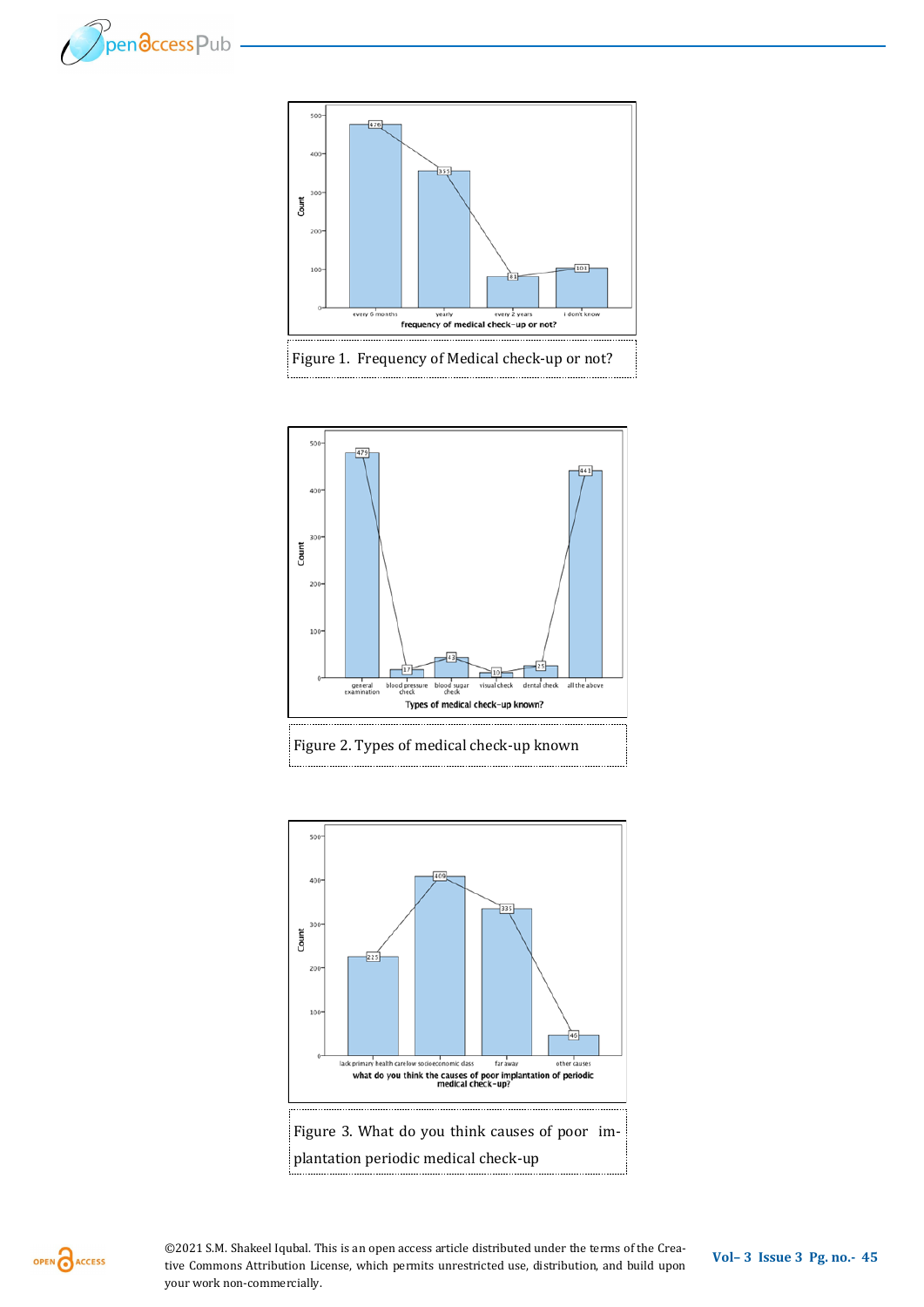









OPEN CACCESS

**Vol– <sup>3</sup>Issue 3 Pg. no.-<sup>45</sup>** ©2021 S.M. Shakeel Iqubal. This is an open access article distributed under the terms of the Creative Commons Attribution License, which permits unrestricted use, distribution, and build upon your work non-commercially.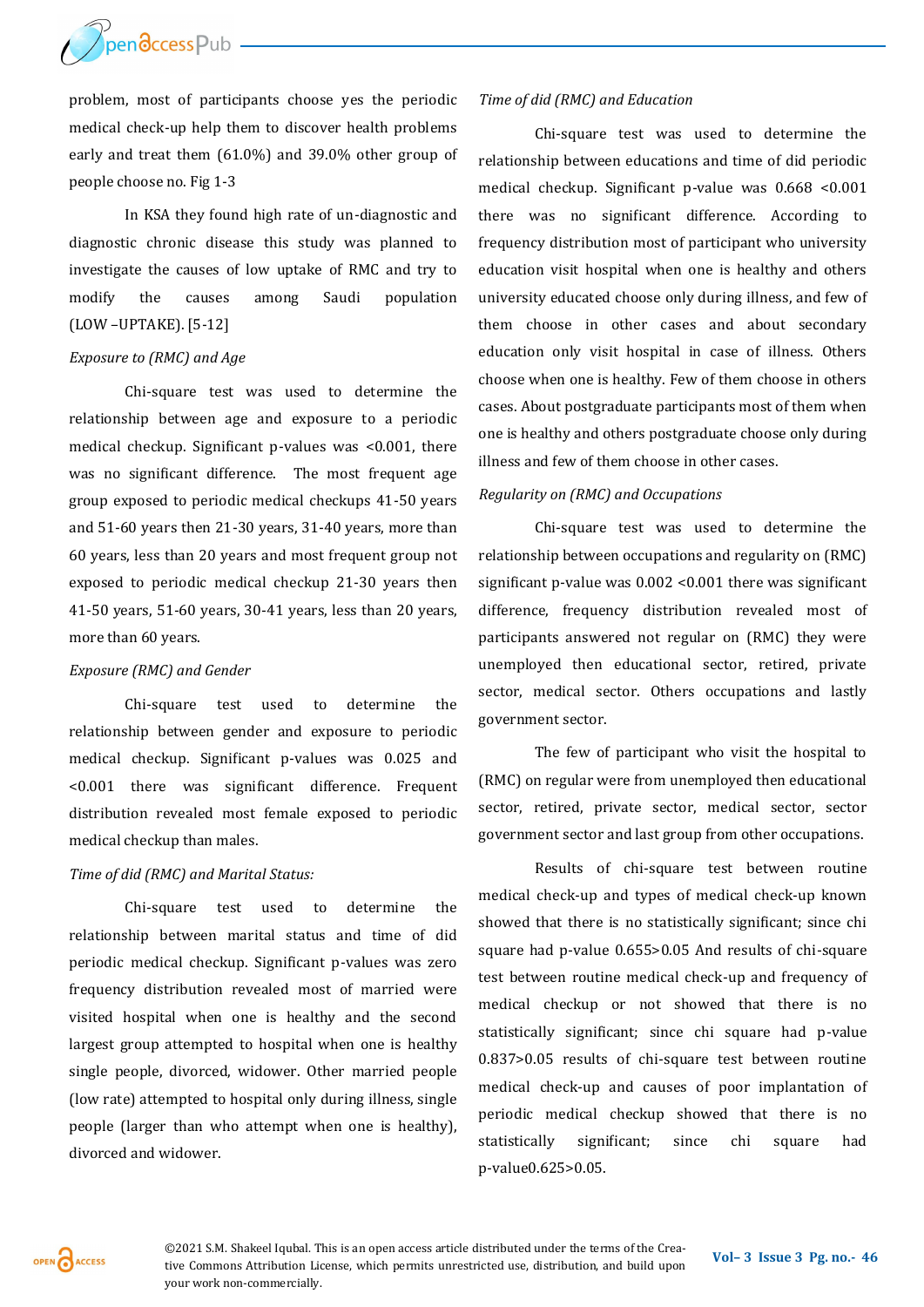

problem, most of participants choose yes the periodic medical check-up help them to discover health problems early and treat them (61.0%) and 39.0% other group of people choose no. Fig 1-3

In KSA they found high rate of un-diagnostic and diagnostic chronic disease this study was planned to investigate the causes of low uptake of RMC and try to modify the causes among Saudi population (LOW –UPTAKE). [5-12]

# *Exposure to (RMC) and Age*

Chi-square test was used to determine the relationship between age and exposure to a periodic medical checkup. Significant p-values was <0.001, there was no significant difference. The most frequent age group exposed to periodic medical checkups 41-50 years and 51-60 years then 21-30 years, 31-40 years, more than 60 years, less than 20 years and most frequent group not exposed to periodic medical checkup 21-30 years then 41-50 years, 51-60 years, 30-41 years, less than 20 years, more than 60 years.

## *Exposure (RMC) and Gender*

Chi-square test used to determine the relationship between gender and exposure to periodic medical checkup. Significant p-values was 0.025 and <0.001 there was significant difference. Frequent distribution revealed most female exposed to periodic medical checkup than males.

## *Time of did (RMC) and Marital Status:*

Chi-square test used to determine the relationship between marital status and time of did periodic medical checkup. Significant p-values was zero frequency distribution revealed most of married were visited hospital when one is healthy and the second largest group attempted to hospital when one is healthy single people, divorced, widower. Other married people (low rate) attempted to hospital only during illness, single people (larger than who attempt when one is healthy), divorced and widower.

#### *Time of did (RMC) and Education*

Chi-square test was used to determine the relationship between educations and time of did periodic medical checkup. Significant p-value was 0.668 <0.001 there was no significant difference. According to frequency distribution most of participant who university education visit hospital when one is healthy and others university educated choose only during illness, and few of them choose in other cases and about secondary education only visit hospital in case of illness. Others choose when one is healthy. Few of them choose in others cases. About postgraduate participants most of them when one is healthy and others postgraduate choose only during illness and few of them choose in other cases.

#### *Regularity on (RMC) and Occupations*

Chi-square test was used to determine the relationship between occupations and regularity on (RMC) significant p-value was 0.002 <0.001 there was significant difference, frequency distribution revealed most of participants answered not regular on (RMC) they were unemployed then educational sector, retired, private sector, medical sector. Others occupations and lastly government sector.

The few of participant who visit the hospital to (RMC) on regular were from unemployed then educational sector, retired, private sector, medical sector, sector government sector and last group from other occupations.

Results of chi-square test between routine medical check-up and types of medical check-up known showed that there is no statistically significant; since chi square had p-value 0.655>0.05 And results of chi-square test between routine medical check-up and frequency of medical checkup or not showed that there is no statistically significant; since chi square had p-value 0.837>0.05 results of chi-square test between routine medical check-up and causes of poor implantation of periodic medical checkup showed that there is no statistically significant; since chi square had p-value0.625>0.05.

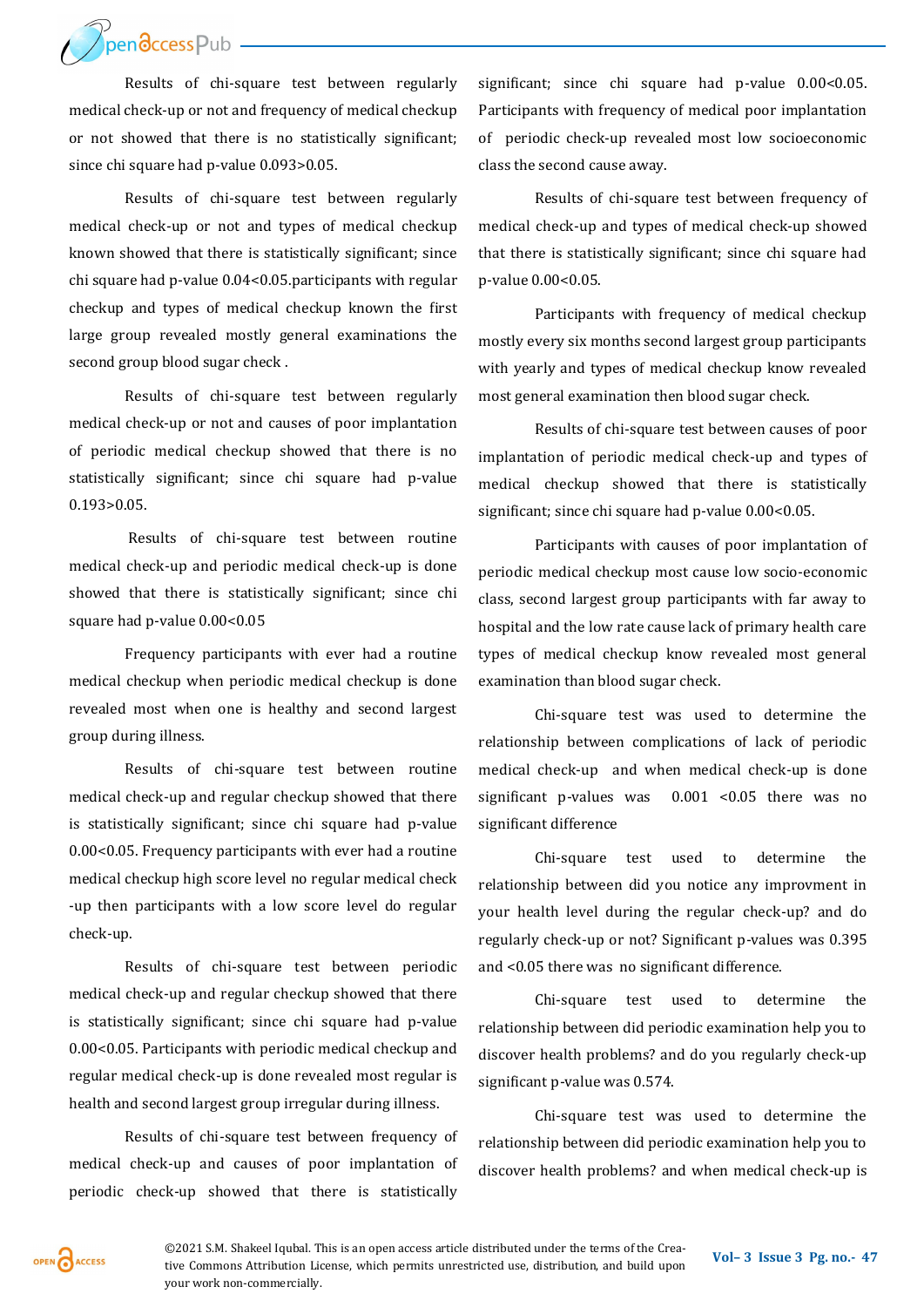Bendccess Pub

Results of chi-square test between regularly medical check-up or not and frequency of medical checkup or not showed that there is no statistically significant; since chi square had p-value 0.093>0.05.

Results of chi-square test between regularly medical check-up or not and types of medical checkup known showed that there is statistically significant; since chi square had p-value 0.04<0.05.participants with regular checkup and types of medical checkup known the first large group revealed mostly general examinations the second group blood sugar check .

Results of chi-square test between regularly medical check-up or not and causes of poor implantation of periodic medical checkup showed that there is no statistically significant; since chi square had p-value 0.193>0.05.

Results of chi-square test between routine medical check-up and periodic medical check-up is done showed that there is statistically significant; since chi square had p-value 0.00<0.05

Frequency participants with ever had a routine medical checkup when periodic medical checkup is done revealed most when one is healthy and second largest group during illness.

Results of chi-square test between routine medical check-up and regular checkup showed that there is statistically significant; since chi square had p-value 0.00<0.05. Frequency participants with ever had a routine medical checkup high score level no regular medical check -up then participants with a low score level do regular check-up.

Results of chi-square test between periodic medical check-up and regular checkup showed that there is statistically significant; since chi square had p-value 0.00<0.05. Participants with periodic medical checkup and regular medical check-up is done revealed most regular is health and second largest group irregular during illness.

Results of chi-square test between frequency of medical check-up and causes of poor implantation of periodic check-up showed that there is statistically

significant; since chi square had p-value 0.00<0.05. Participants with frequency of medical poor implantation of periodic check-up revealed most low socioeconomic class the second cause away.

Results of chi-square test between frequency of medical check-up and types of medical check-up showed that there is statistically significant; since chi square had p-value 0.00<0.05.

Participants with frequency of medical checkup mostly every six months second largest group participants with yearly and types of medical checkup know revealed most general examination then blood sugar check.

Results of chi-square test between causes of poor implantation of periodic medical check-up and types of medical checkup showed that there is statistically significant; since chi square had p-value 0.00<0.05.

Participants with causes of poor implantation of periodic medical checkup most cause low socio-economic class, second largest group participants with far away to hospital and the low rate cause lack of primary health care types of medical checkup know revealed most general examination than blood sugar check.

Chi-square test was used to determine the relationship between complications of lack of periodic medical check-up and when medical check-up is done significant p-values was  $0.001$  <0.05 there was no significant difference

Chi-square test used to determine the relationship between did you notice any improvment in your health level during the regular check-up? and do regularly check-up or not? Significant p-values was 0.395 and <0.05 there was no significant difference.

Chi-square test used to determine the relationship between did periodic examination help you to discover health problems? and do you regularly check-up significant p-value was 0.574.

Chi-square test was used to determine the relationship between did periodic examination help you to discover health problems? and when medical check-up is

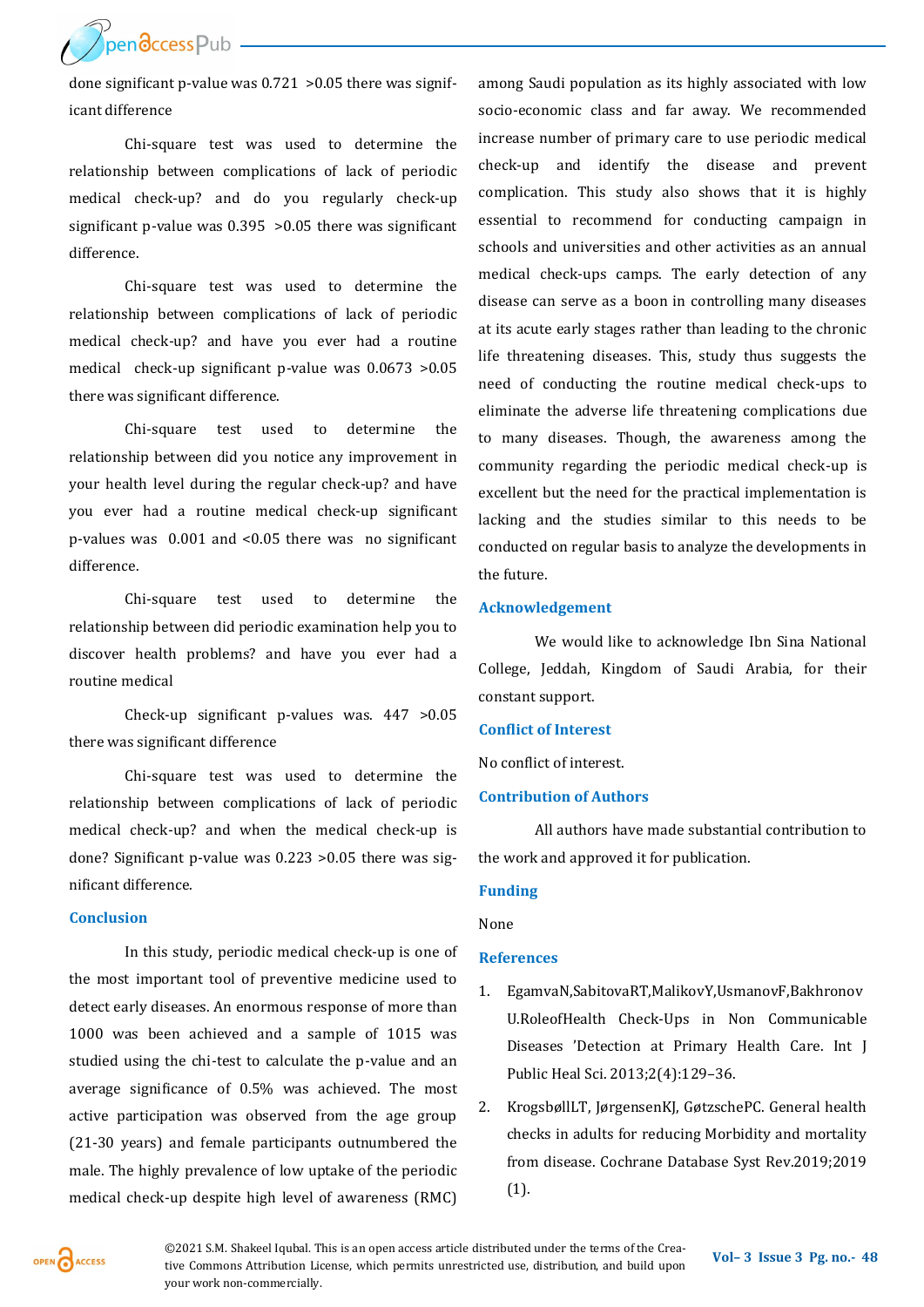pendccess Pub

done significant p-value was 0.721 >0.05 there was significant difference

Chi-square test was used to determine the relationship between complications of lack of periodic medical check-up? and do you regularly check-up significant p-value was 0.395 >0.05 there was significant difference.

Chi-square test was used to determine the relationship between complications of lack of periodic medical check-up? and have you ever had a routine medical check-up significant p-value was 0.0673 >0.05 there was significant difference.

Chi-square test used to determine the relationship between did you notice any improvement in your health level during the regular check-up? and have you ever had a routine medical check-up significant p-values was 0.001 and <0.05 there was no significant difference.

Chi-square test used to determine the relationship between did periodic examination help you to discover health problems? and have you ever had a routine medical

Check-up significant p-values was. 447 >0.05 there was significant difference

Chi-square test was used to determine the relationship between complications of lack of periodic medical check-up? and when the medical check-up is done? Significant p-value was 0.223 >0.05 there was significant difference.

#### **Conclusion**

In this study, periodic medical check-up is one of the most important tool of preventive medicine used to detect early diseases. An enormous response of more than 1000 was been achieved and a sample of 1015 was studied using the chi-test to calculate the p-value and an average significance of 0.5% was achieved. The most active participation was observed from the age group (21-30 years) and female participants outnumbered the male. The highly prevalence of low uptake of the periodic medical check-up despite high level of awareness (RMC)

among Saudi population as its highly associated with low socio-economic class and far away. We recommended increase number of primary care to use periodic medical check-up and identify the disease and prevent complication. This study also shows that it is highly essential to recommend for conducting campaign in schools and universities and other activities as an annual medical check-ups camps. The early detection of any disease can serve as a boon in controlling many diseases at its acute early stages rather than leading to the chronic life threatening diseases. This, study thus suggests the need of conducting the routine medical check-ups to eliminate the adverse life threatening complications due to many diseases. Though, the awareness among the community regarding the periodic medical check-up is excellent but the need for the practical implementation is lacking and the studies similar to this needs to be conducted on regular basis to analyze the developments in the future.

# **Acknowledgement**

We would like to acknowledge Ibn Sina National College, Jeddah, Kingdom of Saudi Arabia, for their constant support.

## **Conflict of Interest**

No conflict of interest.

#### **Contribution of Authors**

All authors have made substantial contribution to the work and approved it for publication.

#### **Funding**

None

#### **References**

- 1. EgamvaN,SabitovaRT,MalikovY,UsmanovF,Bakhronov U.RoleofHealth Check-Ups in Non Communicable Diseases 'Detection at Primary Health Care. Int J Public Heal Sci. 2013;2(4):129–36.
- 2. KrogsbøllLT, JørgensenKJ, GøtzschePC. General health checks in adults for reducing Morbidity and mortality from disease. Cochrane Database Syst Rev.2019;2019 (1).